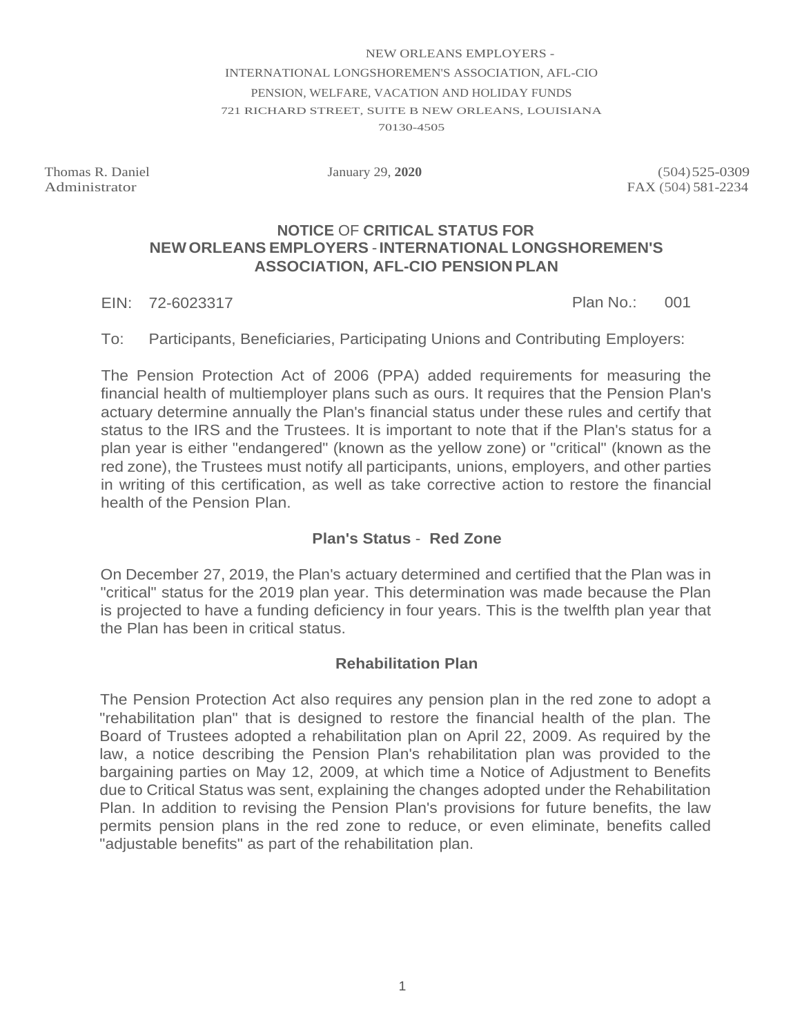#### NEW ORLEANS EMPLOYERS - INTERNATIONAL LONGSHOREMEN'S ASSOCIATION, AFL-CIO PENSION, WELFARE, VACATION AND HOLIDAY FUNDS 721 RICHARD STREET, SUITE B NEW ORLEANS, LOUISIANA 70130-4505

Thomas R. Daniel Administrator

Thomas R. Daniel January 29, **2020** (504) 525-0309<br>Administrator FAX (504) 581-2234 FAX (504) 581-2234

#### **NEW ORLEANS EMPLOYERS** -**INTERNATIONAL LONGSHOREMEN'S NOTICE** OF **CRITICAL STATUS FOR ASSOCIATION, AFL-CIO PENSION PLAN**

EIN: 72-6023317 Plan No.: 001

Plan No.:

To: Participants, Beneficiaries, Participating Unions and Contributing Employers:

 The Pension Protection Act of 2006 (PPA) added requirements for measuring the financial health of multiemployer plans such as ours. It requires that the Pension Plan's actuary determine annually the Plan's financial status under these rules and certify that status to the IRS and the Trustees. It is important to note that if the Plan's status for a plan year is either "endangered" (known as the yellow zone) or "critical" (known as the red zone), the Trustees must notify all participants, unions, employers, and other parties in writing of this certification, as well as take corrective action to restore the financial health of the Pension Plan.

## **Plan's Status** - **Red Zone**

 On December 27, 2019, the Plan's actuary determined and certified that the Plan was in "critical" status for the 2019 plan year. This determination was made because the Plan is projected to have a funding deficiency in four years. This is the twelfth plan year that the Plan has been in critical status.

### **Rehabilitation Plan**

 due to Critical Status was sent, explaining the changes adopted under the Rehabilitation The Pension Protection Act also requires any pension plan in the red zone to adopt a "rehabilitation plan" that is designed to restore the financial health of the plan. The Board of Trustees adopted a rehabilitation plan on April 22, 2009. As required by the law, a notice describing the Pension Plan's rehabilitation plan was provided to the bargaining parties on May 12, 2009, at which time a Notice of Adjustment to Benefits Plan. In addition to revising the Pension Plan's provisions for future benefits, the law permits pension plans in the red zone to reduce, or even eliminate, benefits called "adjustable benefits" as part of the rehabilitation plan.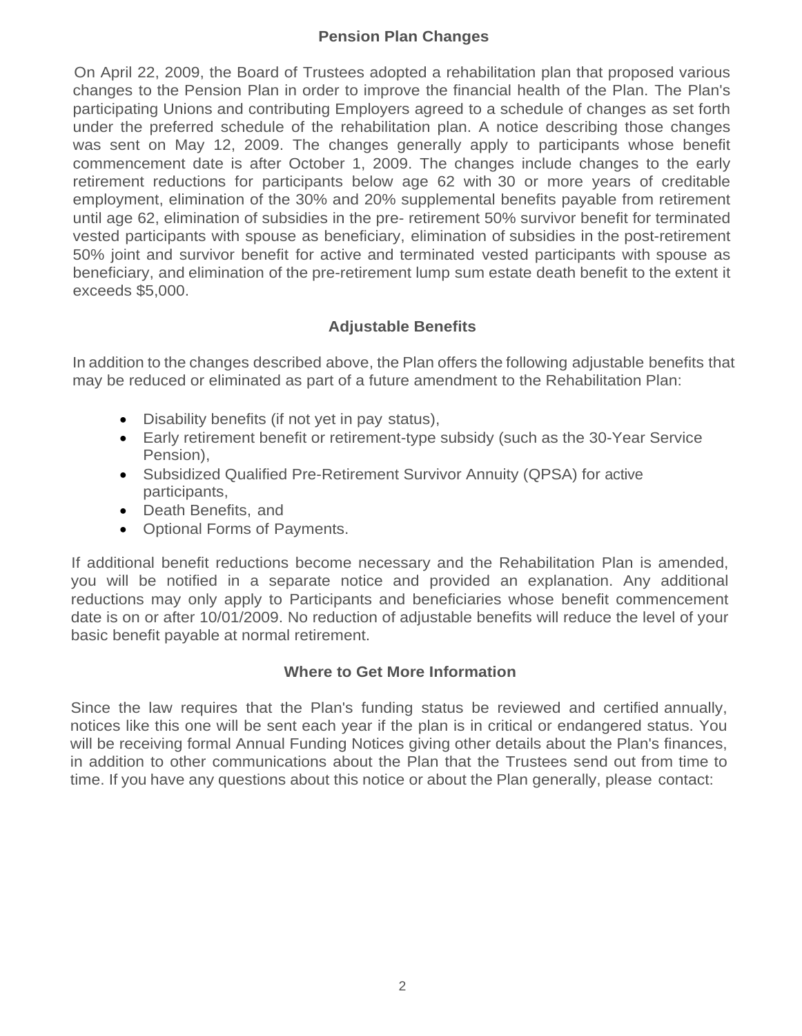## **Pension Plan Changes**

 changes to the Pension Plan in order to improve the financial health of the Plan. The Plan's participating Unions and contributing Employers agreed to a schedule of changes as set forth until age 62, elimination of subsidies in the pre- retirement 50% survivor benefit for terminated vested participants with spouse as beneficiary, elimination of subsidies in the post-retirement 50% joint and survivor benefit for active and terminated vested participants with spouse as beneficiary, and elimination of the pre-retirement lump sum estate death benefit to the extent it On April 22, 2009, the Board of Trustees adopted a rehabilitation plan that proposed various under the preferred schedule of the rehabilitation plan. A notice describing those changes was sent on May 12, 2009. The changes generally apply to participants whose benefit commencement date is after October 1, 2009. The changes include changes to the early retirement reductions for participants below age 62 with 30 or more years of creditable employment, elimination of the 30% and 20% supplemental benefits payable from retirement exceeds \$5,000.

# **Adjustable Benefits**

 In addition to the changes described above, the Plan offers the following adjustable benefits that may be reduced or eliminated as part of a future amendment to the Rehabilitation Plan:

- Disability benefits (if not yet in pay status),
- • Early retirement benefit or retirement-type subsidy (such as the 30-Year Service Pension),
- • Subsidized Qualified Pre-Retirement Survivor Annuity (QPSA) for active participants,
- Death Benefits, and
- Optional Forms of Payments.

 reductions may only apply to Participants and beneficiaries whose benefit commencement date is on or after 10/01/2009. No reduction of adjustable benefits will reduce the level of your If additional benefit reductions become necessary and the Rehabilitation Plan is amended, you will be notified in a separate notice and provided an explanation. Any additional basic benefit payable at normal retirement.

### **Where to Get More Information**

 Since the law requires that the Plan's funding status be reviewed and certified annually, will be receiving formal Annual Funding Notices giving other details about the Plan's finances, in addition to other communications about the Plan that the Trustees send out from time to time. If you have any questions about this notice or about the Plan generally, please contact: notices like this one will be sent each year if the plan is in critical or endangered status. You